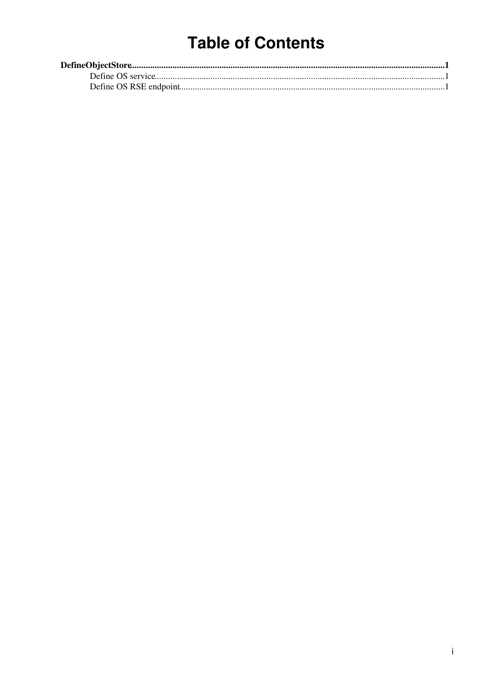## **Table of Contents**